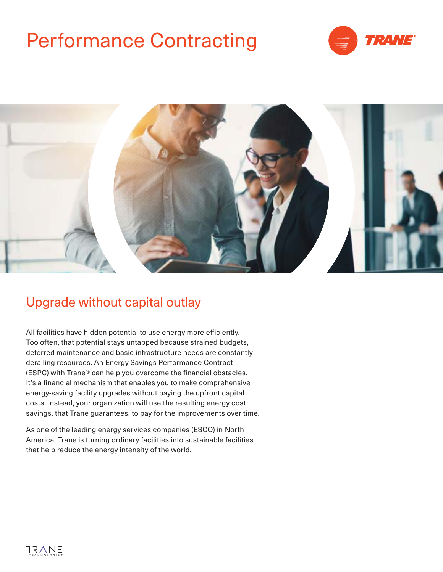# Performance Contracting





### Upgrade without capital outlay

All facilities have hidden potential to use energy more efficiently. Too often, that potential stays untapped because strained budgets, deferred maintenance and basic infrastructure needs are constantly derailing resources. An Energy Savings Performance Contract (ESPC) with Trane® can help you overcome the financial obstacles. It's a financial mechanism that enables you to make comprehensive energy-saving facility upgrades without paying the upfront capital costs. Instead, your organization will use the resulting energy cost savings, that Trane guarantees, to pay for the improvements over time.

As one of the leading energy services companies (ESCO) in North America, Trane is turning ordinary facilities into sustainable facilities that help reduce the energy intensity of the world.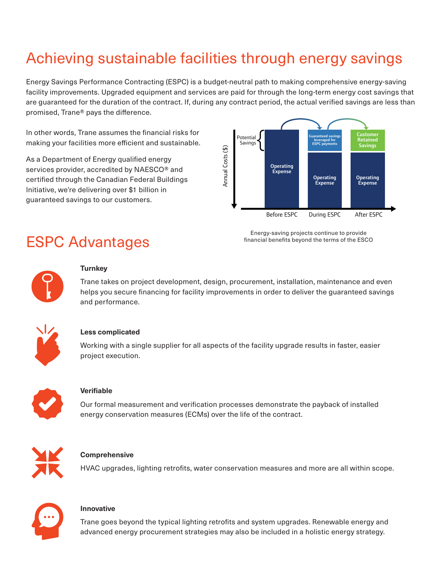### Achieving sustainable facilities through energy savings

Energy Savings Performance Contracting (ESPC) is a budget-neutral path to making comprehensive energy-saving facility improvements. Upgraded equipment and services are paid for through the long-term energy cost savings that are guaranteed for the duration of the contract. If, during any contract period, the actual verified savings are less than promised, Trane® pays the difference.

In other words, Trane assumes the financial risks for making your facilities more efficient and sustainable.

As a Department of Energy qualified energy services provider, accredited by NAESCO® and certified through the Canadian Federal Buildings Initiative, we're delivering over \$1 billion in guaranteed savings to our customers.



### ESPC Advantages

Energy-saving projects continue to provide financial benefits beyond the terms of the ESCO



#### **Turnkey**

Trane takes on project development, design, procurement, installation, maintenance and even helps you secure financing for facility improvements in order to deliver the guaranteed savings and performance.



#### **Less complicated**

Working with a single supplier for all aspects of the facility upgrade results in faster, easier project execution.



#### **Verifiable**

Our formal measurement and verification processes demonstrate the payback of installed energy conservation measures (ECMs) over the life of the contract.



#### **Comprehensive**

HVAC upgrades, lighting retrofits, water conservation measures and more are all within scope.



#### **Innovative**

Trane goes beyond the typical lighting retrofits and system upgrades. Renewable energy and advanced energy procurement strategies may also be included in a holistic energy strategy.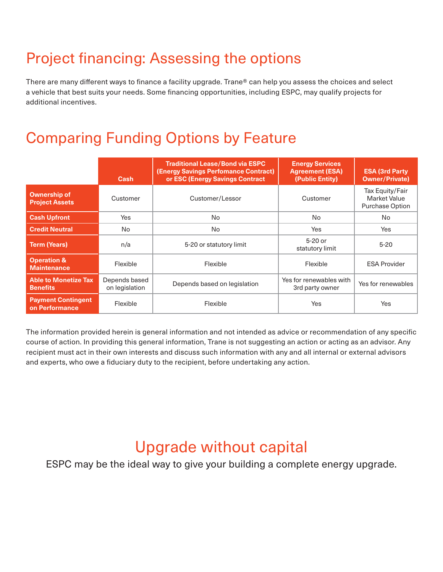## Project financing: Assessing the options

There are many different ways to finance a facility upgrade. Trane® can help you assess the choices and select a vehicle that best suits your needs. Some financing opportunities, including ESPC, may qualify projects for additional incentives.

### Comparing Funding Options by Feature

|                                                | Cash                            | <b>Traditional Lease/Bond via ESPC</b><br><b>(Energy Savings Perfomance Contract)</b><br>or ESC (Energy Savings Contract | <b>Energy Services</b><br><b>Agreement (ESA)</b><br>(Public Entity) | <b>ESA (3rd Party)</b><br><b>Owner/Private)</b>           |
|------------------------------------------------|---------------------------------|--------------------------------------------------------------------------------------------------------------------------|---------------------------------------------------------------------|-----------------------------------------------------------|
| <b>Ownership of</b><br><b>Project Assets</b>   | Customer                        | Customer/Lessor                                                                                                          | Customer                                                            | Tax Equity/Fair<br><b>Market Value</b><br>Purchase Option |
| <b>Cash Upfront</b>                            | Yes                             | No                                                                                                                       | No                                                                  | No                                                        |
| <b>Credit Neutral</b>                          | No                              | No                                                                                                                       | Yes                                                                 | Yes                                                       |
| <b>Term (Years)</b>                            | n/a                             | 5-20 or statutory limit                                                                                                  | $5-20$ or<br>statutory limit                                        | $5 - 20$                                                  |
| <b>Operation &amp;</b><br><b>Maintenance</b>   | Flexible                        | Flexible                                                                                                                 | Flexible                                                            | <b>ESA Provider</b>                                       |
| <b>Able to Monetize Tax</b><br><b>Benefits</b> | Depends based<br>on legislation | Depends based on legislation                                                                                             | Yes for renewables with<br>3rd party owner                          | Yes for renewables                                        |
| <b>Payment Contingent</b><br>on Performance    | Flexible                        | Flexible                                                                                                                 | Yes                                                                 | Yes                                                       |

The information provided herein is general information and not intended as advice or recommendation of any specific course of action. In providing this general information, Trane is not suggesting an action or acting as an advisor. Any recipient must act in their own interests and discuss such information with any and all internal or external advisors and experts, who owe a fiduciary duty to the recipient, before undertaking any action.

### Upgrade without capital

ESPC may be the ideal way to give your building a complete energy upgrade.